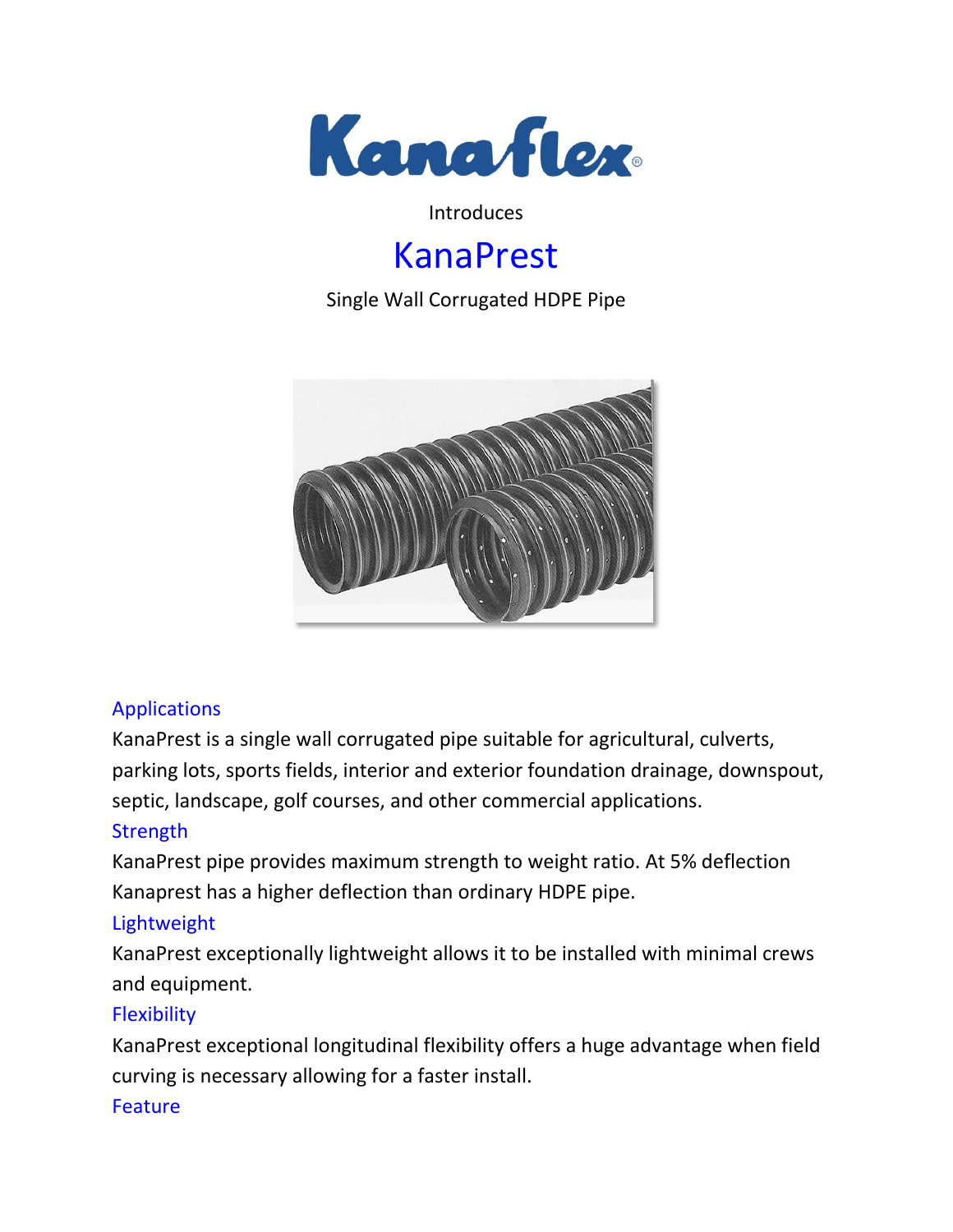

#### Introduces

# KanaPrest

Single Wall Corrugated HDPE Pipe



### Applications

KanaPrest is a single wall corrugated pipe suitable for agricultural, culverts, parking lots, sports fields, interior and exterior foundation drainage, downspout, septic, landscape, golf courses, and other commercial applications.

### **Strength**

KanaPrest pipe provides maximum strength to weight ratio. At 5% deflection Kanaprest has a higher deflection than ordinary HDPE pipe.

### Lightweight

KanaPrest exceptionally lightweight allows it to be installed with minimal crews and equipment.

### **Flexibility**

KanaPrest exceptional longitudinal flexibility offers a huge advantage when field curving is necessary allowing for a faster install.

#### Feature